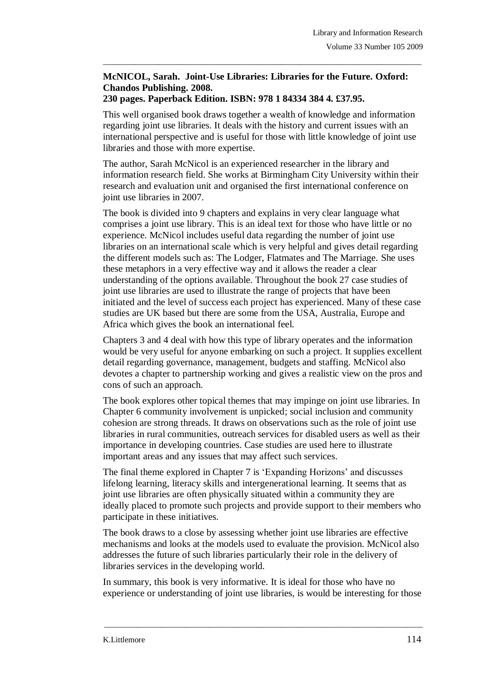## **McNICOL, Sarah. Joint-Use Libraries: Libraries for the Future. Oxford: Chandos Publishing. 2008.**

 $\_$  ,  $\_$  ,  $\_$  ,  $\_$  ,  $\_$  ,  $\_$  ,  $\_$  ,  $\_$  ,  $\_$  ,  $\_$  ,  $\_$  ,  $\_$  ,  $\_$  ,  $\_$  ,  $\_$  ,  $\_$  ,  $\_$  ,  $\_$  ,  $\_$  ,  $\_$  ,  $\_$  ,  $\_$  ,  $\_$  ,  $\_$  ,  $\_$  ,  $\_$  ,  $\_$  ,  $\_$  ,  $\_$  ,  $\_$  ,  $\_$  ,  $\_$  ,  $\_$  ,  $\_$  ,  $\_$  ,  $\_$  ,  $\_$  ,

## **230 pages. Paperback Edition. ISBN: 978 1 84334 384 4. £37.95.**

This well organised book draws together a wealth of knowledge and information regarding joint use libraries. It deals with the history and current issues with an international perspective and is useful for those with little knowledge of joint use libraries and those with more expertise.

The author, Sarah McNicol is an experienced researcher in the library and information research field. She works at Birmingham City University within their research and evaluation unit and organised the first international conference on joint use libraries in 2007.

The book is divided into 9 chapters and explains in very clear language what comprises a joint use library. This is an ideal text for those who have little or no experience. McNicol includes useful data regarding the number of joint use libraries on an international scale which is very helpful and gives detail regarding the different models such as: The Lodger, Flatmates and The Marriage. She uses these metaphors in a very effective way and it allows the reader a clear understanding of the options available. Throughout the book 27 case studies of joint use libraries are used to illustrate the range of projects that have been initiated and the level of success each project has experienced. Many of these case studies are UK based but there are some from the USA, Australia, Europe and Africa which gives the book an international feel.

Chapters 3 and 4 deal with how this type of library operates and the information would be very useful for anyone embarking on such a project. It supplies excellent detail regarding governance, management, budgets and staffing. McNicol also devotes a chapter to partnership working and gives a realistic view on the pros and cons of such an approach.

The book explores other topical themes that may impinge on joint use libraries. In Chapter 6 community involvement is unpicked; social inclusion and community cohesion are strong threads. It draws on observations such as the role of joint use libraries in rural communities, outreach services for disabled users as well as their importance in developing countries. Case studies are used here to illustrate important areas and any issues that may affect such services.

The final theme explored in Chapter 7 is 'Expanding Horizons' and discusses lifelong learning, literacy skills and intergenerational learning. It seems that as joint use libraries are often physically situated within a community they are ideally placed to promote such projects and provide support to their members who participate in these initiatives.

The book draws to a close by assessing whether joint use libraries are effective mechanisms and looks at the models used to evaluate the provision. McNicol also addresses the future of such libraries particularly their role in the delivery of libraries services in the developing world.

In summary, this book is very informative. It is ideal for those who have no experience or understanding of joint use libraries, is would be interesting for those

\_\_\_\_\_\_\_\_\_\_\_\_\_\_\_\_\_\_\_\_\_\_\_\_\_\_\_\_\_\_\_\_\_\_\_\_\_\_\_\_\_\_\_\_\_\_\_\_\_\_\_\_\_\_\_\_\_\_\_\_\_\_\_\_\_\_\_\_\_\_\_\_\_\_\_\_\_\_\_